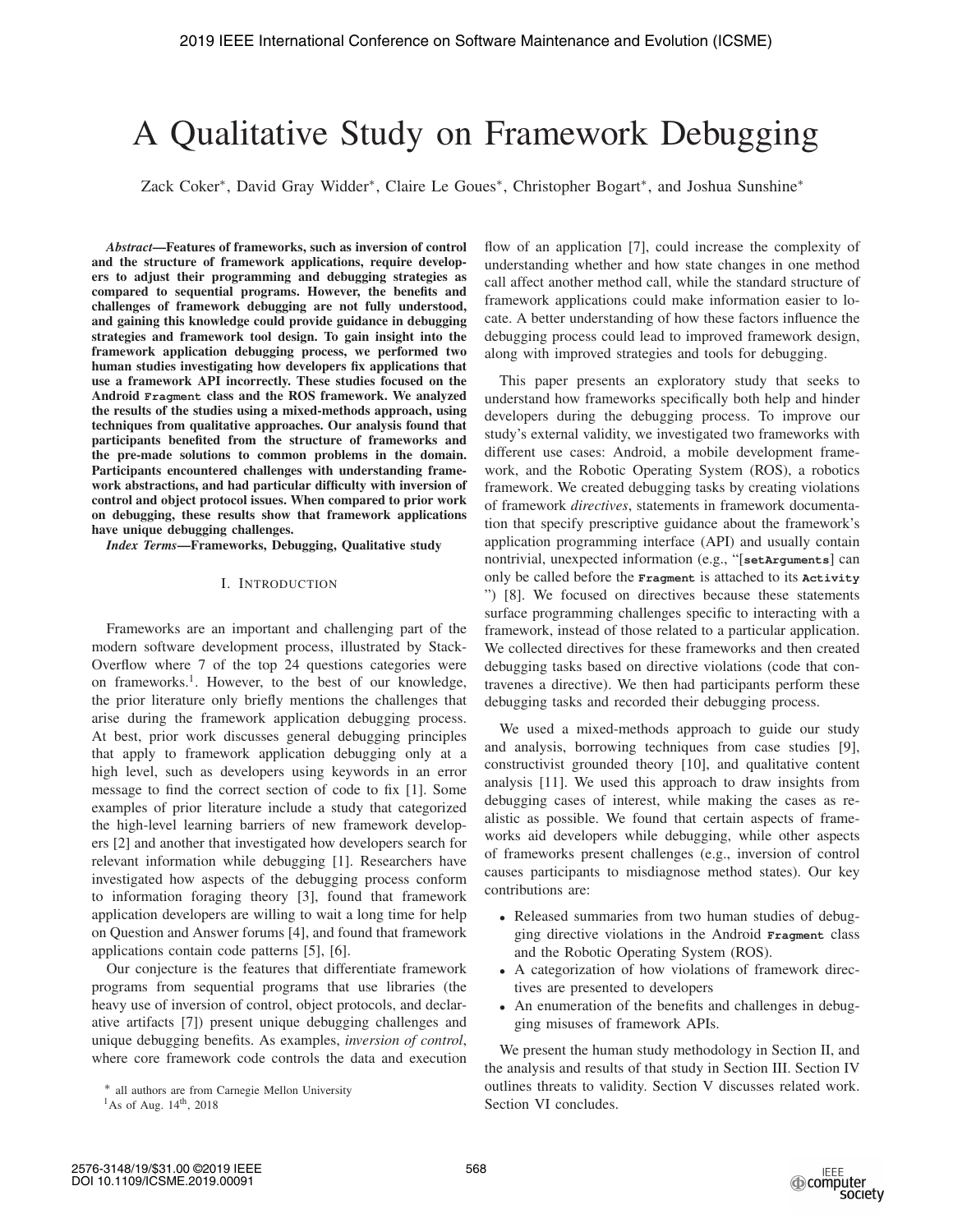# A Qualitative Study on Framework Debugging

Zack Coker∗, David Gray Widder∗, Claire Le Goues∗, Christopher Bogart∗, and Joshua Sunshine∗

*Abstract*—Features of frameworks, such as inversion of control and the structure of framework applications, require developers to adjust their programming and debugging strategies as compared to sequential programs. However, the benefits and challenges of framework debugging are not fully understood, and gaining this knowledge could provide guidance in debugging strategies and framework tool design. To gain insight into the framework application debugging process, we performed two human studies investigating how developers fix applications that use a framework API incorrectly. These studies focused on the Android **Fragment** class and the ROS framework. We analyzed the results of the studies using a mixed-methods approach, using techniques from qualitative approaches. Our analysis found that participants benefited from the structure of frameworks and the pre-made solutions to common problems in the domain. Participants encountered challenges with understanding framework abstractions, and had particular difficulty with inversion of control and object protocol issues. When compared to prior work on debugging, these results show that framework applications have unique debugging challenges.

*Index Terms*—Frameworks, Debugging, Qualitative study

## I. INTRODUCTION

Frameworks are an important and challenging part of the modern software development process, illustrated by Stack-Overflow where 7 of the top 24 questions categories were on frameworks.1. However, to the best of our knowledge, the prior literature only briefly mentions the challenges that arise during the framework application debugging process. At best, prior work discusses general debugging principles that apply to framework application debugging only at a high level, such as developers using keywords in an error message to find the correct section of code to fix [1]. Some examples of prior literature include a study that categorized the high-level learning barriers of new framework developers [2] and another that investigated how developers search for relevant information while debugging [1]. Researchers have investigated how aspects of the debugging process conform to information foraging theory [3], found that framework application developers are willing to wait a long time for help on Question and Answer forums [4], and found that framework applications contain code patterns [5], [6].

Our conjecture is the features that differentiate framework programs from sequential programs that use libraries (the heavy use of inversion of control, object protocols, and declarative artifacts [7]) present unique debugging challenges and unique debugging benefits. As examples, *inversion of control*, where core framework code controls the data and execution

flow of an application [7], could increase the complexity of understanding whether and how state changes in one method call affect another method call, while the standard structure of framework applications could make information easier to locate. A better understanding of how these factors influence the debugging process could lead to improved framework design, along with improved strategies and tools for debugging.

This paper presents an exploratory study that seeks to understand how frameworks specifically both help and hinder developers during the debugging process. To improve our study's external validity, we investigated two frameworks with different use cases: Android, a mobile development framework, and the Robotic Operating System (ROS), a robotics framework. We created debugging tasks by creating violations of framework *directives*, statements in framework documentation that specify prescriptive guidance about the framework's application programming interface (API) and usually contain nontrivial, unexpected information (e.g., "[**setArguments**] can only be called before the **Fragment** is attached to its **Activity** ") [8]. We focused on directives because these statements surface programming challenges specific to interacting with a framework, instead of those related to a particular application. We collected directives for these frameworks and then created debugging tasks based on directive violations (code that contravenes a directive). We then had participants perform these debugging tasks and recorded their debugging process.

We used a mixed-methods approach to guide our study and analysis, borrowing techniques from case studies [9], constructivist grounded theory [10], and qualitative content analysis [11]. We used this approach to draw insights from debugging cases of interest, while making the cases as realistic as possible. We found that certain aspects of frameworks aid developers while debugging, while other aspects of frameworks present challenges (e.g., inversion of control causes participants to misdiagnose method states). Our key contributions are:

- Released summaries from two human studies of debugging directive violations in the Android **Fragment** class and the Robotic Operating System (ROS).
- A categorization of how violations of framework directives are presented to developers
- An enumeration of the benefits and challenges in debugging misuses of framework APIs.

We present the human study methodology in Section II, and the analysis and results of that study in Section III. Section IV outlines threats to validity. Section V discusses related work. Section VI concludes.

<sup>∗</sup> all authors are from Carnegie Mellon University

 $1\text{As}$  of Aug.  $14\text{th}$ , 2018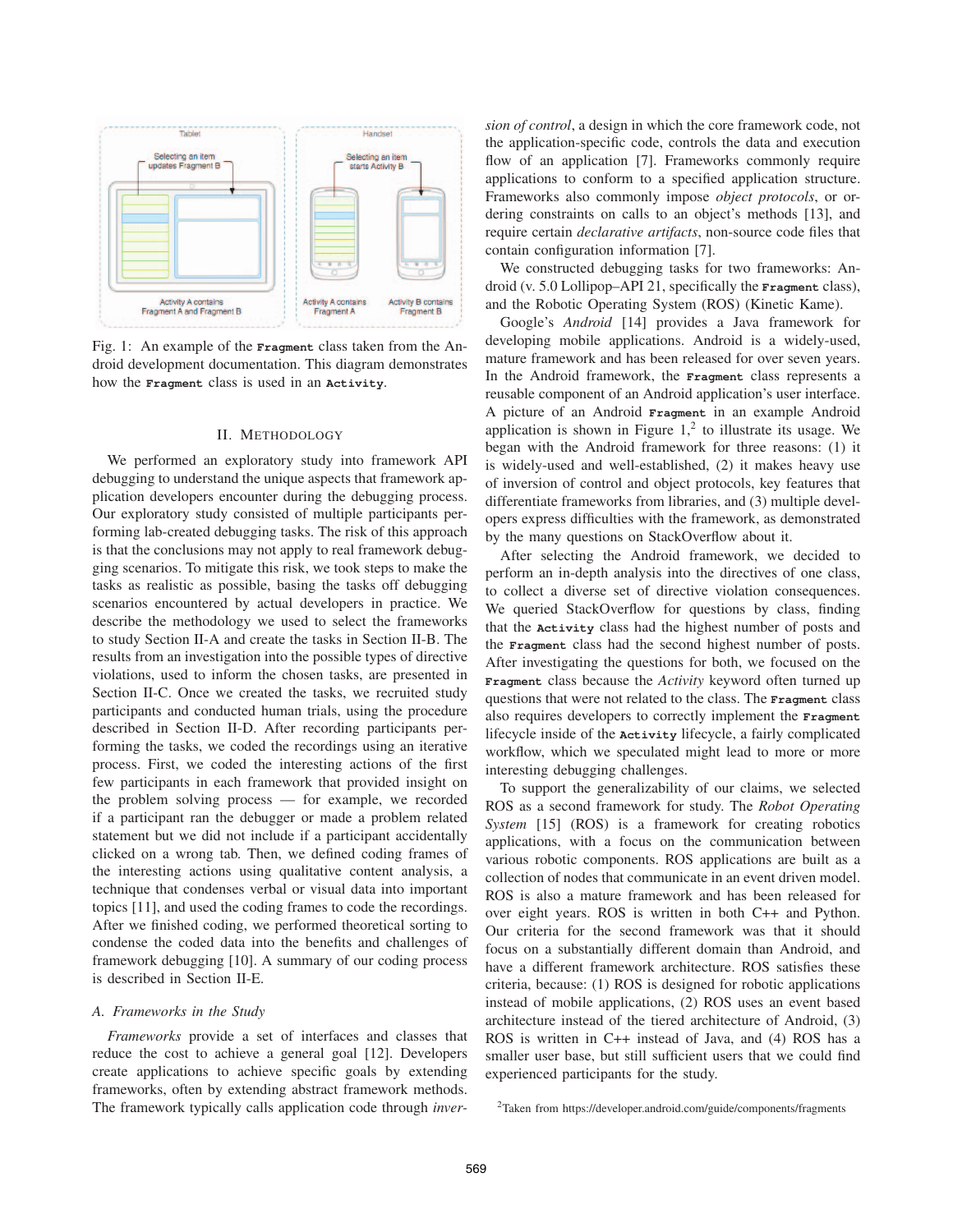

Fig. 1: An example of the **Fragment** class taken from the Android development documentation. This diagram demonstrates how the **Fragment** class is used in an **Activity**.

#### II. METHODOLOGY

We performed an exploratory study into framework API debugging to understand the unique aspects that framework application developers encounter during the debugging process. Our exploratory study consisted of multiple participants performing lab-created debugging tasks. The risk of this approach is that the conclusions may not apply to real framework debugging scenarios. To mitigate this risk, we took steps to make the tasks as realistic as possible, basing the tasks off debugging scenarios encountered by actual developers in practice. We describe the methodology we used to select the frameworks to study Section II-A and create the tasks in Section II-B. The results from an investigation into the possible types of directive violations, used to inform the chosen tasks, are presented in Section II-C. Once we created the tasks, we recruited study participants and conducted human trials, using the procedure described in Section II-D. After recording participants performing the tasks, we coded the recordings using an iterative process. First, we coded the interesting actions of the first few participants in each framework that provided insight on the problem solving process — for example, we recorded if a participant ran the debugger or made a problem related statement but we did not include if a participant accidentally clicked on a wrong tab. Then, we defined coding frames of the interesting actions using qualitative content analysis, a technique that condenses verbal or visual data into important topics [11], and used the coding frames to code the recordings. After we finished coding, we performed theoretical sorting to condense the coded data into the benefits and challenges of framework debugging [10]. A summary of our coding process is described in Section II-E.

## *A. Frameworks in the Study*

*Frameworks* provide a set of interfaces and classes that reduce the cost to achieve a general goal [12]. Developers create applications to achieve specific goals by extending frameworks, often by extending abstract framework methods. The framework typically calls application code through *inver-* *sion of control*, a design in which the core framework code, not the application-specific code, controls the data and execution flow of an application [7]. Frameworks commonly require applications to conform to a specified application structure. Frameworks also commonly impose *object protocols*, or ordering constraints on calls to an object's methods [13], and require certain *declarative artifacts*, non-source code files that contain configuration information [7].

We constructed debugging tasks for two frameworks: Android (v. 5.0 Lollipop–API 21, specifically the **Fragment** class), and the Robotic Operating System (ROS) (Kinetic Kame).

Google's *Android* [14] provides a Java framework for developing mobile applications. Android is a widely-used, mature framework and has been released for over seven years. In the Android framework, the **Fragment** class represents a reusable component of an Android application's user interface. A picture of an Android **Fragment** in an example Android application is shown in Figure  $1<sup>2</sup>$  to illustrate its usage. We began with the Android framework for three reasons: (1) it is widely-used and well-established, (2) it makes heavy use of inversion of control and object protocols, key features that differentiate frameworks from libraries, and (3) multiple developers express difficulties with the framework, as demonstrated by the many questions on StackOverflow about it.

After selecting the Android framework, we decided to perform an in-depth analysis into the directives of one class, to collect a diverse set of directive violation consequences. We queried StackOverflow for questions by class, finding that the **Activity** class had the highest number of posts and the **Fragment** class had the second highest number of posts. After investigating the questions for both, we focused on the **Fragment** class because the *Activity* keyword often turned up questions that were not related to the class. The **Fragment** class also requires developers to correctly implement the **Fragment** lifecycle inside of the **Activity** lifecycle, a fairly complicated workflow, which we speculated might lead to more or more interesting debugging challenges.

To support the generalizability of our claims, we selected ROS as a second framework for study. The *Robot Operating System* [15] (ROS) is a framework for creating robotics applications, with a focus on the communication between various robotic components. ROS applications are built as a collection of nodes that communicate in an event driven model. ROS is also a mature framework and has been released for over eight years. ROS is written in both C++ and Python. Our criteria for the second framework was that it should focus on a substantially different domain than Android, and have a different framework architecture. ROS satisfies these criteria, because: (1) ROS is designed for robotic applications instead of mobile applications, (2) ROS uses an event based architecture instead of the tiered architecture of Android, (3) ROS is written in C++ instead of Java, and (4) ROS has a smaller user base, but still sufficient users that we could find experienced participants for the study.

2Taken from https://developer.android.com/guide/components/fragments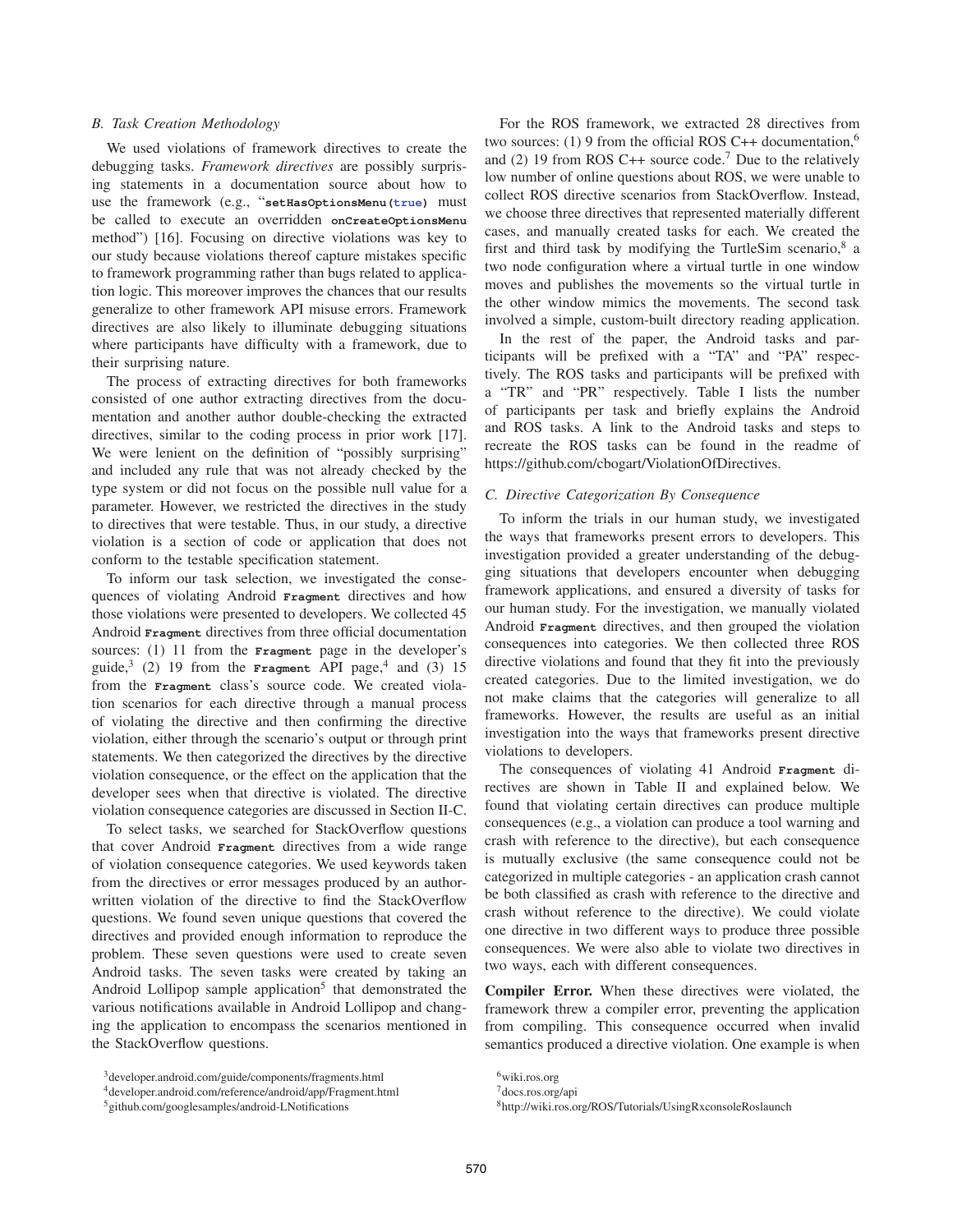## *B. Task Creation Methodology*

We used violations of framework directives to create the debugging tasks. *Framework directives* are possibly surprising statements in a documentation source about how to use the framework (e.g., "**setHasOptionsMenu(true)** must be called to execute an overridden **onCreateOptionsMenu** method") [16]. Focusing on directive violations was key to our study because violations thereof capture mistakes specific to framework programming rather than bugs related to application logic. This moreover improves the chances that our results generalize to other framework API misuse errors. Framework directives are also likely to illuminate debugging situations where participants have difficulty with a framework, due to their surprising nature.

The process of extracting directives for both frameworks consisted of one author extracting directives from the documentation and another author double-checking the extracted directives, similar to the coding process in prior work [17]. We were lenient on the definition of "possibly surprising" and included any rule that was not already checked by the type system or did not focus on the possible null value for a parameter. However, we restricted the directives in the study to directives that were testable. Thus, in our study, a directive violation is a section of code or application that does not conform to the testable specification statement.

To inform our task selection, we investigated the consequences of violating Android **Fragment** directives and how those violations were presented to developers. We collected 45 Android **Fragment** directives from three official documentation sources: (1) 11 from the **Fragment** page in the developer's guide,<sup>3</sup> (2) 19 from the **Fragment** API page,<sup>4</sup> and (3) 15 from the **Fragment** class's source code. We created violation scenarios for each directive through a manual process of violating the directive and then confirming the directive violation, either through the scenario's output or through print statements. We then categorized the directives by the directive violation consequence, or the effect on the application that the developer sees when that directive is violated. The directive violation consequence categories are discussed in Section II-C.

To select tasks, we searched for StackOverflow questions that cover Android **Fragment** directives from a wide range of violation consequence categories. We used keywords taken from the directives or error messages produced by an authorwritten violation of the directive to find the StackOverflow questions. We found seven unique questions that covered the directives and provided enough information to reproduce the problem. These seven questions were used to create seven Android tasks. The seven tasks were created by taking an Android Lollipop sample application<sup>5</sup> that demonstrated the various notifications available in Android Lollipop and changing the application to encompass the scenarios mentioned in the StackOverflow questions.

For the ROS framework, we extracted 28 directives from two sources: (1) 9 from the official ROS C++ documentation,<sup>6</sup> and (2) 19 from ROS C++ source code.<sup>7</sup> Due to the relatively low number of online questions about ROS, we were unable to collect ROS directive scenarios from StackOverflow. Instead, we choose three directives that represented materially different cases, and manually created tasks for each. We created the first and third task by modifying the TurtleSim scenario, $8$  a two node configuration where a virtual turtle in one window moves and publishes the movements so the virtual turtle in the other window mimics the movements. The second task involved a simple, custom-built directory reading application.

In the rest of the paper, the Android tasks and participants will be prefixed with a "TA" and "PA" respectively. The ROS tasks and participants will be prefixed with a "TR" and "PR" respectively. Table I lists the number of participants per task and briefly explains the Android and ROS tasks. A link to the Android tasks and steps to recreate the ROS tasks can be found in the readme of https://github.com/cbogart/ViolationOfDirectives.

## *C. Directive Categorization By Consequence*

To inform the trials in our human study, we investigated the ways that frameworks present errors to developers. This investigation provided a greater understanding of the debugging situations that developers encounter when debugging framework applications, and ensured a diversity of tasks for our human study. For the investigation, we manually violated Android **Fragment** directives, and then grouped the violation consequences into categories. We then collected three ROS directive violations and found that they fit into the previously created categories. Due to the limited investigation, we do not make claims that the categories will generalize to all frameworks. However, the results are useful as an initial investigation into the ways that frameworks present directive violations to developers.

The consequences of violating 41 Android **Fragment** directives are shown in Table II and explained below. We found that violating certain directives can produce multiple consequences (e.g., a violation can produce a tool warning and crash with reference to the directive), but each consequence is mutually exclusive (the same consequence could not be categorized in multiple categories - an application crash cannot be both classified as crash with reference to the directive and crash without reference to the directive). We could violate one directive in two different ways to produce three possible consequences. We were also able to violate two directives in two ways, each with different consequences.

Compiler Error. When these directives were violated, the framework threw a compiler error, preventing the application from compiling. This consequence occurred when invalid semantics produced a directive violation. One example is when

<sup>3</sup>developer.android.com/guide/components/fragments.html

<sup>4</sup>developer.android.com/reference/android/app/Fragment.html

<sup>5</sup>github.com/googlesamples/android-LNotifications

<sup>6</sup>wiki.ros.org

<sup>7</sup>docs.ros.org/api

<sup>8</sup>http://wiki.ros.org/ROS/Tutorials/UsingRxconsoleRoslaunch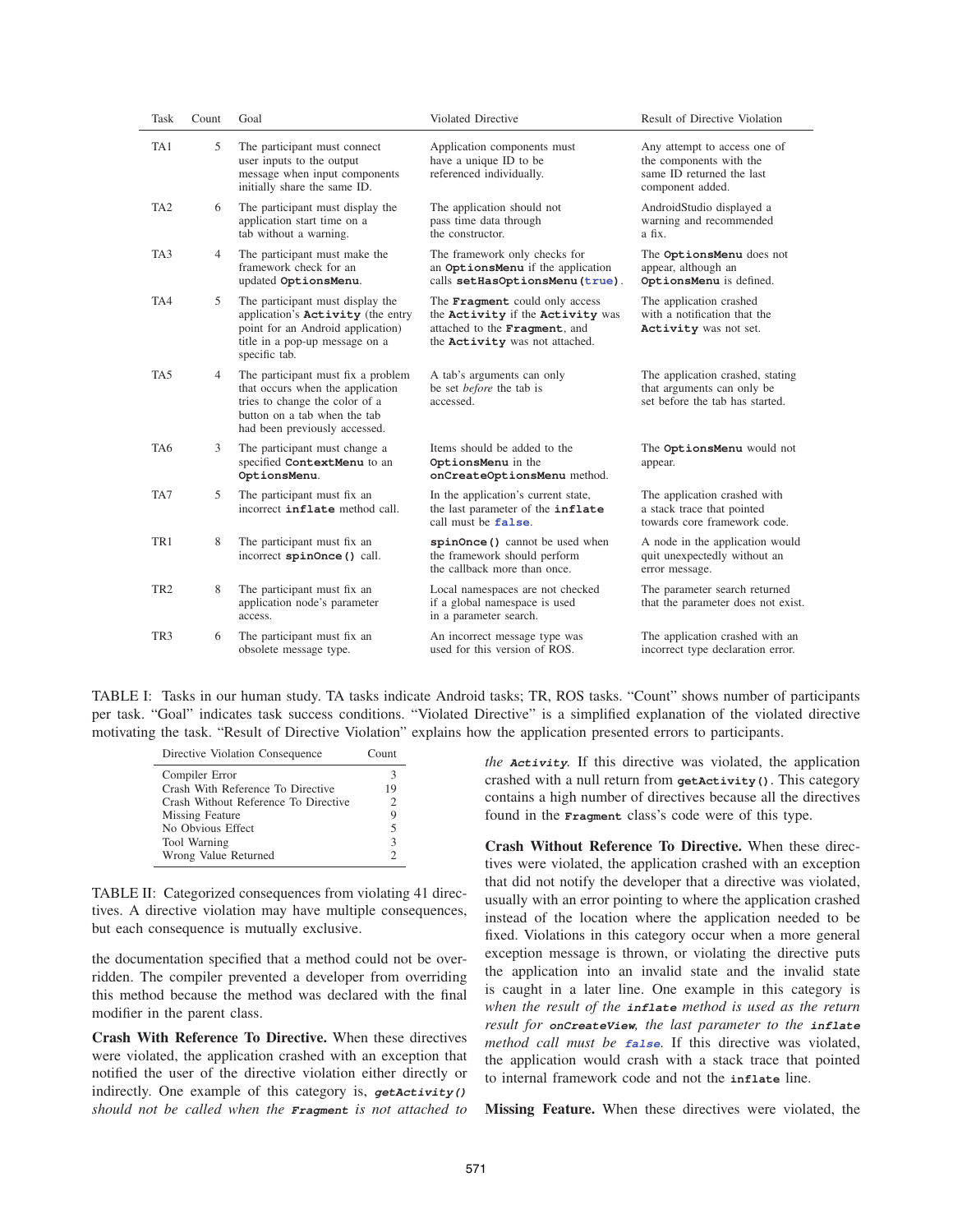| Task            | Count | Goal                                                                                                                                                                      | Violated Directive                                                                                                                           | Result of Directive Violation                                                                            |
|-----------------|-------|---------------------------------------------------------------------------------------------------------------------------------------------------------------------------|----------------------------------------------------------------------------------------------------------------------------------------------|----------------------------------------------------------------------------------------------------------|
| TA1             | 5     | The participant must connect<br>user inputs to the output<br>message when input components<br>initially share the same ID.                                                | Application components must<br>have a unique ID to be<br>referenced individually.                                                            | Any attempt to access one of<br>the components with the<br>same ID returned the last<br>component added. |
| TA <sub>2</sub> | 6     | The participant must display the<br>application start time on a<br>tab without a warning.                                                                                 | The application should not<br>pass time data through<br>the constructor.                                                                     | AndroidStudio displayed a<br>warning and recommended<br>a fix.                                           |
| TA <sub>3</sub> | 4     | The participant must make the<br>framework check for an<br>updated OptionsMenu.                                                                                           | The framework only checks for<br>an OptionsMenu if the application<br>calls setHasOptionsMenu(true).                                         | The OptionsMenu does not<br>appear, although an<br>OptionsMenu is defined.                               |
| TA4             | 5     | The participant must display the<br>application's <b>Activity</b> (the entry<br>point for an Android application)<br>title in a pop-up message on a<br>specific tab.      | The Fragment could only access<br>the Activity if the Activity was<br>attached to the Fragment, and<br>the <b>Activity</b> was not attached. | The application crashed<br>with a notification that the<br>Activity was not set.                         |
| TA <sub>5</sub> | 4     | The participant must fix a problem<br>that occurs when the application<br>tries to change the color of a<br>button on a tab when the tab<br>had been previously accessed. | A tab's arguments can only<br>be set <i>before</i> the tab is<br>accessed.                                                                   | The application crashed, stating<br>that arguments can only be<br>set before the tab has started.        |
| TA6             | 3     | The participant must change a<br>specified ContextMenu to an<br>OptionsMenu.                                                                                              | Items should be added to the<br>OptionsMenu in the<br>onCreateOptionsMenu method.                                                            | The OptionsMenu would not<br>appear.                                                                     |
| TA7             | 5     | The participant must fix an<br>incorrect inflate method call.                                                                                                             | In the application's current state,<br>the last parameter of the inflate<br>call must be false.                                              | The application crashed with<br>a stack trace that pointed<br>towards core framework code.               |
| TR1             | 8     | The participant must fix an<br>incorrect spinOnce () call.                                                                                                                | spinOnce () cannot be used when<br>the framework should perform<br>the callback more than once.                                              | A node in the application would<br>quit unexpectedly without an<br>error message.                        |
| TR <sub>2</sub> | 8     | The participant must fix an<br>application node's parameter<br>access.                                                                                                    | Local namespaces are not checked<br>if a global namespace is used<br>in a parameter search.                                                  | The parameter search returned<br>that the parameter does not exist.                                      |
| TR <sub>3</sub> | 6     | The participant must fix an<br>obsolete message type.                                                                                                                     | An incorrect message type was<br>used for this version of ROS.                                                                               | The application crashed with an<br>incorrect type declaration error.                                     |

TABLE I: Tasks in our human study. TA tasks indicate Android tasks; TR, ROS tasks. "Count" shows number of participants per task. "Goal" indicates task success conditions. "Violated Directive" is a simplified explanation of the violated directive motivating the task. "Result of Directive Violation" explains how the application presented errors to participants.

| Directive Violation Consequence      | Count                       |  |
|--------------------------------------|-----------------------------|--|
| Compiler Error                       | 3                           |  |
| Crash With Reference To Directive    | 19                          |  |
| Crash Without Reference To Directive | $\mathcal{D}_{\mathcal{L}}$ |  |
| Missing Feature                      | 9                           |  |
| No Obvious Effect                    | 5                           |  |
| Tool Warning                         | $\mathcal{F}$               |  |
| Wrong Value Returned                 |                             |  |

TABLE II: Categorized consequences from violating 41 directives. A directive violation may have multiple consequences, but each consequence is mutually exclusive.

the documentation specified that a method could not be overridden. The compiler prevented a developer from overriding this method because the method was declared with the final modifier in the parent class.

Crash With Reference To Directive. When these directives were violated, the application crashed with an exception that notified the user of the directive violation either directly or indirectly. One example of this category is, *getActivity() should not be called when the Fragment is not attached to*

*the Activity.* If this directive was violated, the application crashed with a null return from **getActivity()**. This category contains a high number of directives because all the directives found in the **Fragment** class's code were of this type.

Crash Without Reference To Directive. When these directives were violated, the application crashed with an exception that did not notify the developer that a directive was violated, usually with an error pointing to where the application crashed instead of the location where the application needed to be fixed. Violations in this category occur when a more general exception message is thrown, or violating the directive puts the application into an invalid state and the invalid state is caught in a later line. One example in this category is *when the result of the inflate method is used as the return result for onCreateView, the last parameter to the inflate method call must be false*. If this directive was violated, the application would crash with a stack trace that pointed to internal framework code and not the **inflate** line.

Missing Feature. When these directives were violated, the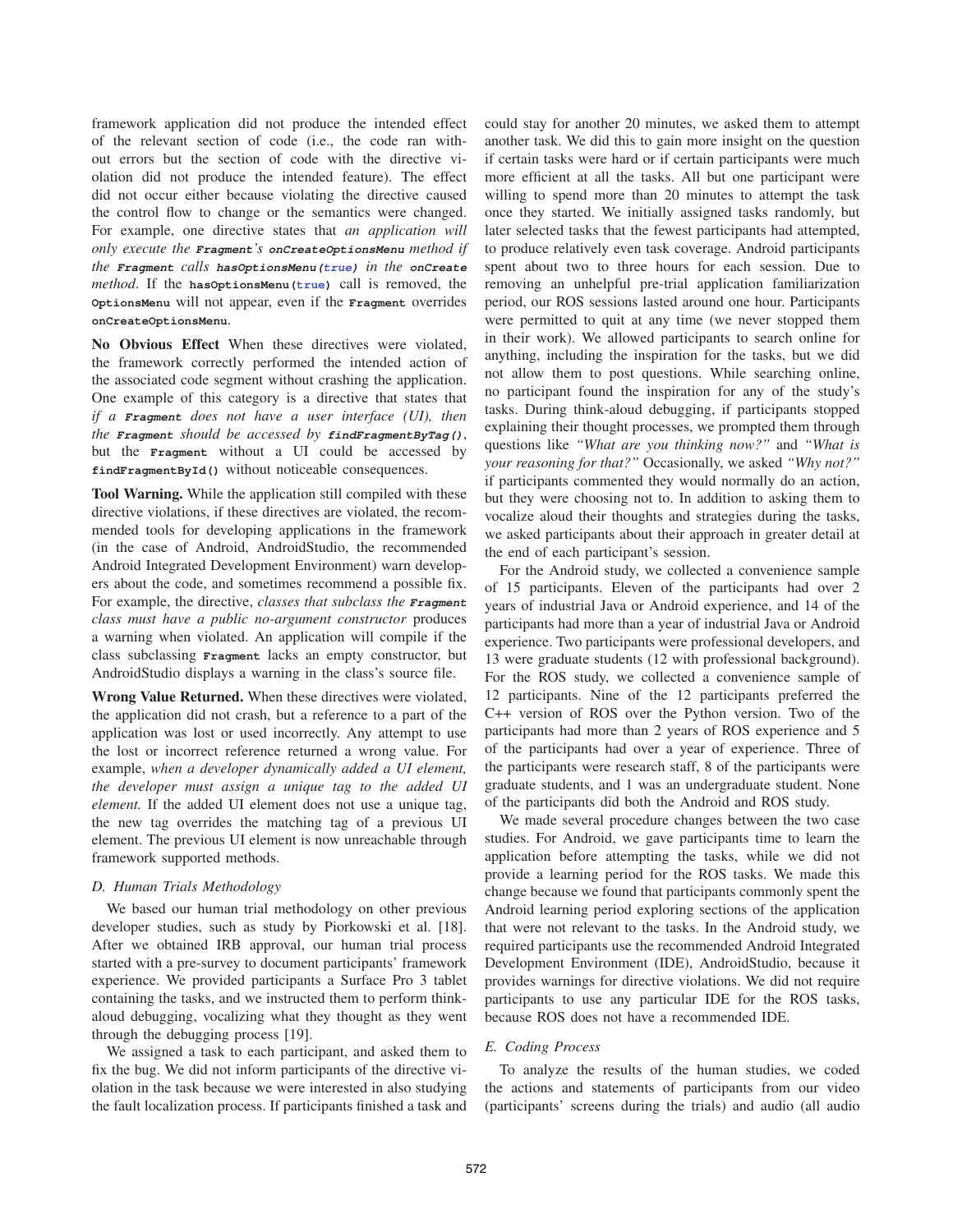framework application did not produce the intended effect of the relevant section of code (i.e., the code ran without errors but the section of code with the directive violation did not produce the intended feature). The effect did not occur either because violating the directive caused the control flow to change or the semantics were changed. For example, one directive states that *an application will only execute the Fragment's onCreateOptionsMenu method if the Fragment calls hasOptionsMenu(true) in the onCreate method*. If the **hasOptionsMenu(true)** call is removed, the **OptionsMenu** will not appear, even if the **Fragment** overrides **onCreateOptionsMenu**.

No Obvious Effect When these directives were violated, the framework correctly performed the intended action of the associated code segment without crashing the application. One example of this category is a directive that states that *if a Fragment does not have a user interface (UI), then the Fragment should be accessed by findFragmentByTag()*, but the **Fragment** without a UI could be accessed by **findFragmentById()** without noticeable consequences.

Tool Warning. While the application still compiled with these directive violations, if these directives are violated, the recommended tools for developing applications in the framework (in the case of Android, AndroidStudio, the recommended Android Integrated Development Environment) warn developers about the code, and sometimes recommend a possible fix. For example, the directive, *classes that subclass the Fragment class must have a public no-argument constructor* produces a warning when violated. An application will compile if the class subclassing **Fragment** lacks an empty constructor, but AndroidStudio displays a warning in the class's source file.

Wrong Value Returned. When these directives were violated, the application did not crash, but a reference to a part of the application was lost or used incorrectly. Any attempt to use the lost or incorrect reference returned a wrong value. For example, *when a developer dynamically added a UI element, the developer must assign a unique tag to the added UI element.* If the added UI element does not use a unique tag, the new tag overrides the matching tag of a previous UI element. The previous UI element is now unreachable through framework supported methods.

## *D. Human Trials Methodology*

We based our human trial methodology on other previous developer studies, such as study by Piorkowski et al. [18]. After we obtained IRB approval, our human trial process started with a pre-survey to document participants' framework experience. We provided participants a Surface Pro 3 tablet containing the tasks, and we instructed them to perform thinkaloud debugging, vocalizing what they thought as they went through the debugging process [19].

We assigned a task to each participant, and asked them to fix the bug. We did not inform participants of the directive violation in the task because we were interested in also studying the fault localization process. If participants finished a task and could stay for another 20 minutes, we asked them to attempt another task. We did this to gain more insight on the question if certain tasks were hard or if certain participants were much more efficient at all the tasks. All but one participant were willing to spend more than 20 minutes to attempt the task once they started. We initially assigned tasks randomly, but later selected tasks that the fewest participants had attempted, to produce relatively even task coverage. Android participants spent about two to three hours for each session. Due to removing an unhelpful pre-trial application familiarization period, our ROS sessions lasted around one hour. Participants were permitted to quit at any time (we never stopped them in their work). We allowed participants to search online for anything, including the inspiration for the tasks, but we did not allow them to post questions. While searching online, no participant found the inspiration for any of the study's tasks. During think-aloud debugging, if participants stopped explaining their thought processes, we prompted them through questions like *"What are you thinking now?"* and *"What is your reasoning for that?"* Occasionally, we asked *"Why not?"* if participants commented they would normally do an action, but they were choosing not to. In addition to asking them to vocalize aloud their thoughts and strategies during the tasks, we asked participants about their approach in greater detail at the end of each participant's session.

For the Android study, we collected a convenience sample of 15 participants. Eleven of the participants had over 2 years of industrial Java or Android experience, and 14 of the participants had more than a year of industrial Java or Android experience. Two participants were professional developers, and 13 were graduate students (12 with professional background). For the ROS study, we collected a convenience sample of 12 participants. Nine of the 12 participants preferred the C++ version of ROS over the Python version. Two of the participants had more than 2 years of ROS experience and 5 of the participants had over a year of experience. Three of the participants were research staff, 8 of the participants were graduate students, and 1 was an undergraduate student. None of the participants did both the Android and ROS study.

We made several procedure changes between the two case studies. For Android, we gave participants time to learn the application before attempting the tasks, while we did not provide a learning period for the ROS tasks. We made this change because we found that participants commonly spent the Android learning period exploring sections of the application that were not relevant to the tasks. In the Android study, we required participants use the recommended Android Integrated Development Environment (IDE), AndroidStudio, because it provides warnings for directive violations. We did not require participants to use any particular IDE for the ROS tasks, because ROS does not have a recommended IDE.

## *E. Coding Process*

To analyze the results of the human studies, we coded the actions and statements of participants from our video (participants' screens during the trials) and audio (all audio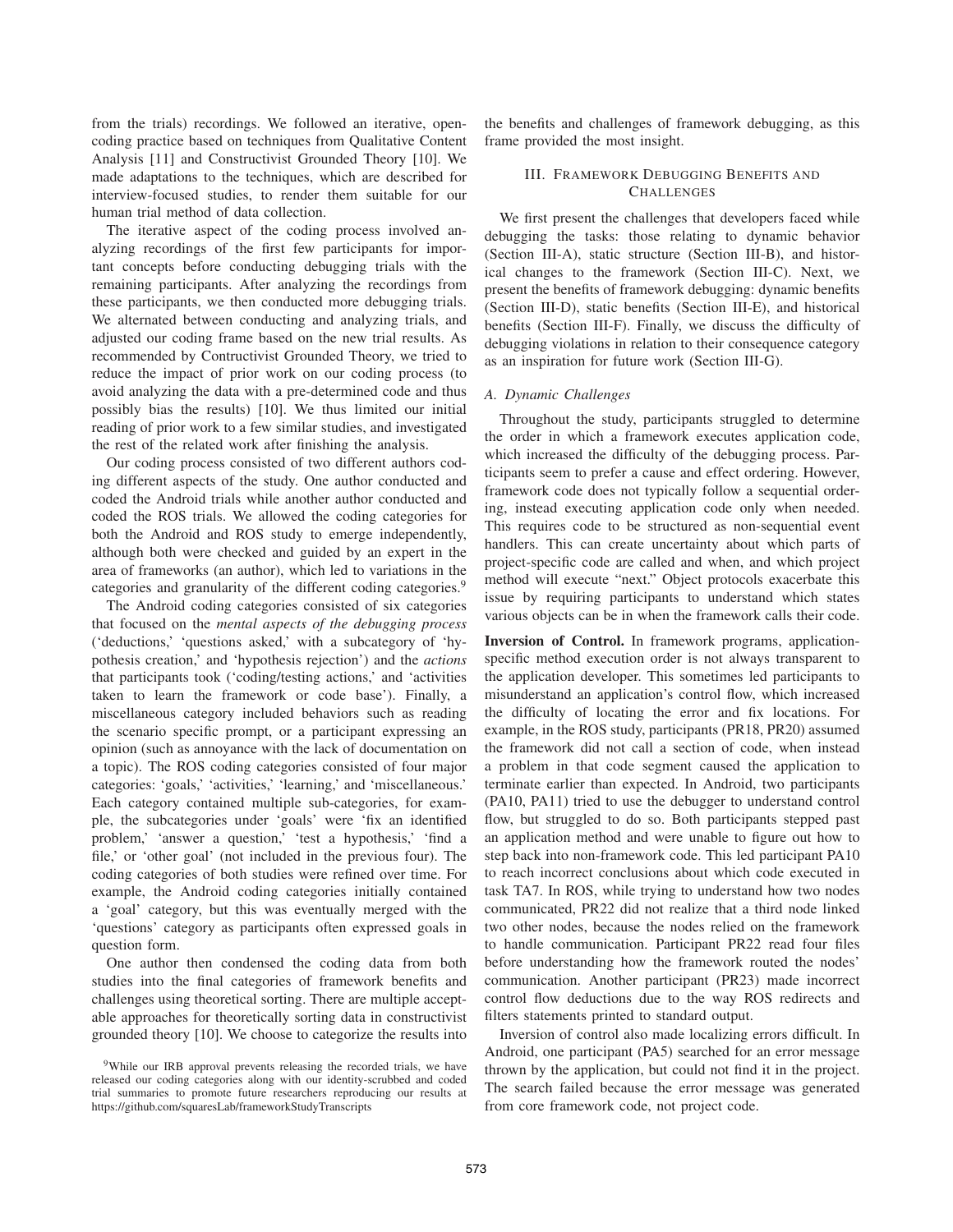from the trials) recordings. We followed an iterative, opencoding practice based on techniques from Qualitative Content Analysis [11] and Constructivist Grounded Theory [10]. We made adaptations to the techniques, which are described for interview-focused studies, to render them suitable for our human trial method of data collection.

The iterative aspect of the coding process involved analyzing recordings of the first few participants for important concepts before conducting debugging trials with the remaining participants. After analyzing the recordings from these participants, we then conducted more debugging trials. We alternated between conducting and analyzing trials, and adjusted our coding frame based on the new trial results. As recommended by Contructivist Grounded Theory, we tried to reduce the impact of prior work on our coding process (to avoid analyzing the data with a pre-determined code and thus possibly bias the results) [10]. We thus limited our initial reading of prior work to a few similar studies, and investigated the rest of the related work after finishing the analysis.

Our coding process consisted of two different authors coding different aspects of the study. One author conducted and coded the Android trials while another author conducted and coded the ROS trials. We allowed the coding categories for both the Android and ROS study to emerge independently, although both were checked and guided by an expert in the area of frameworks (an author), which led to variations in the categories and granularity of the different coding categories.<sup>9</sup>

The Android coding categories consisted of six categories that focused on the *mental aspects of the debugging process* ('deductions,' 'questions asked,' with a subcategory of 'hypothesis creation,' and 'hypothesis rejection') and the *actions* that participants took ('coding/testing actions,' and 'activities taken to learn the framework or code base'). Finally, a miscellaneous category included behaviors such as reading the scenario specific prompt, or a participant expressing an opinion (such as annoyance with the lack of documentation on a topic). The ROS coding categories consisted of four major categories: 'goals,' 'activities,' 'learning,' and 'miscellaneous.' Each category contained multiple sub-categories, for example, the subcategories under 'goals' were 'fix an identified problem,' 'answer a question,' 'test a hypothesis,' 'find a file,' or 'other goal' (not included in the previous four). The coding categories of both studies were refined over time. For example, the Android coding categories initially contained a 'goal' category, but this was eventually merged with the 'questions' category as participants often expressed goals in question form.

One author then condensed the coding data from both studies into the final categories of framework benefits and challenges using theoretical sorting. There are multiple acceptable approaches for theoretically sorting data in constructivist grounded theory [10]. We choose to categorize the results into

the benefits and challenges of framework debugging, as this frame provided the most insight.

## III. FRAMEWORK DEBUGGING BENEFITS AND **CHALLENGES**

We first present the challenges that developers faced while debugging the tasks: those relating to dynamic behavior (Section III-A), static structure (Section III-B), and historical changes to the framework (Section III-C). Next, we present the benefits of framework debugging: dynamic benefits (Section III-D), static benefits (Section III-E), and historical benefits (Section III-F). Finally, we discuss the difficulty of debugging violations in relation to their consequence category as an inspiration for future work (Section III-G).

# *A. Dynamic Challenges*

Throughout the study, participants struggled to determine the order in which a framework executes application code, which increased the difficulty of the debugging process. Participants seem to prefer a cause and effect ordering. However, framework code does not typically follow a sequential ordering, instead executing application code only when needed. This requires code to be structured as non-sequential event handlers. This can create uncertainty about which parts of project-specific code are called and when, and which project method will execute "next." Object protocols exacerbate this issue by requiring participants to understand which states various objects can be in when the framework calls their code.

Inversion of Control. In framework programs, applicationspecific method execution order is not always transparent to the application developer. This sometimes led participants to misunderstand an application's control flow, which increased the difficulty of locating the error and fix locations. For example, in the ROS study, participants (PR18, PR20) assumed the framework did not call a section of code, when instead a problem in that code segment caused the application to terminate earlier than expected. In Android, two participants (PA10, PA11) tried to use the debugger to understand control flow, but struggled to do so. Both participants stepped past an application method and were unable to figure out how to step back into non-framework code. This led participant PA10 to reach incorrect conclusions about which code executed in task TA7. In ROS, while trying to understand how two nodes communicated, PR22 did not realize that a third node linked two other nodes, because the nodes relied on the framework to handle communication. Participant PR22 read four files before understanding how the framework routed the nodes' communication. Another participant (PR23) made incorrect control flow deductions due to the way ROS redirects and filters statements printed to standard output.

Inversion of control also made localizing errors difficult. In Android, one participant (PA5) searched for an error message thrown by the application, but could not find it in the project. The search failed because the error message was generated from core framework code, not project code.

<sup>&</sup>lt;sup>9</sup>While our IRB approval prevents releasing the recorded trials, we have released our coding categories along with our identity-scrubbed and coded trial summaries to promote future researchers reproducing our results at https://github.com/squaresLab/frameworkStudyTranscripts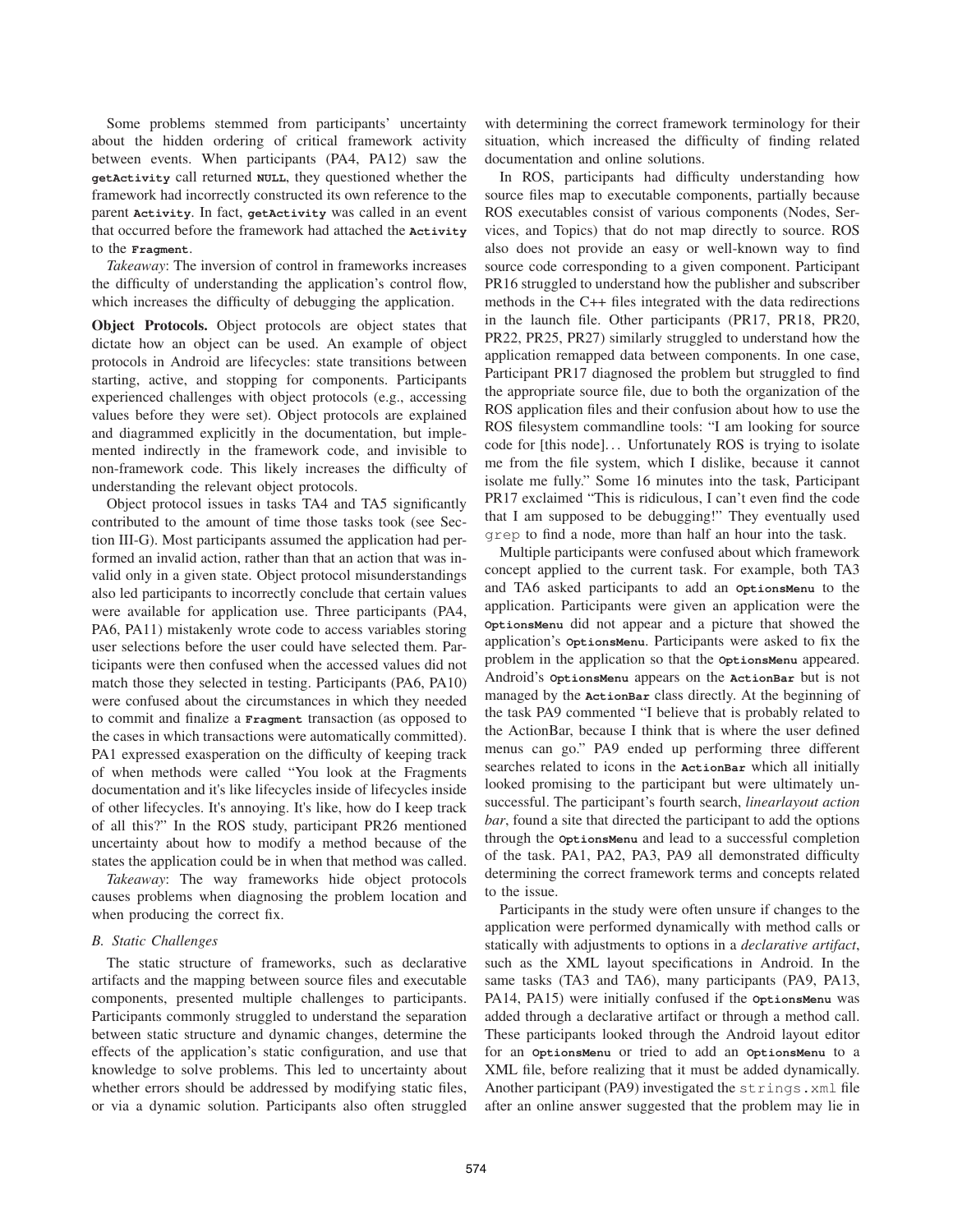Some problems stemmed from participants' uncertainty about the hidden ordering of critical framework activity between events. When participants (PA4, PA12) saw the **getActivity** call returned **NULL**, they questioned whether the framework had incorrectly constructed its own reference to the parent **Activity**. In fact, **getActivity** was called in an event that occurred before the framework had attached the **Activity** to the **Fragment**.

*Takeaway*: The inversion of control in frameworks increases the difficulty of understanding the application's control flow, which increases the difficulty of debugging the application.

Object Protocols. Object protocols are object states that dictate how an object can be used. An example of object protocols in Android are lifecycles: state transitions between starting, active, and stopping for components. Participants experienced challenges with object protocols (e.g., accessing values before they were set). Object protocols are explained and diagrammed explicitly in the documentation, but implemented indirectly in the framework code, and invisible to non-framework code. This likely increases the difficulty of understanding the relevant object protocols.

Object protocol issues in tasks TA4 and TA5 significantly contributed to the amount of time those tasks took (see Section III-G). Most participants assumed the application had performed an invalid action, rather than that an action that was invalid only in a given state. Object protocol misunderstandings also led participants to incorrectly conclude that certain values were available for application use. Three participants (PA4, PA6, PA11) mistakenly wrote code to access variables storing user selections before the user could have selected them. Participants were then confused when the accessed values did not match those they selected in testing. Participants (PA6, PA10) were confused about the circumstances in which they needed to commit and finalize a **Fragment** transaction (as opposed to the cases in which transactions were automatically committed). PA1 expressed exasperation on the difficulty of keeping track of when methods were called "You look at the Fragments documentation and it's like lifecycles inside of lifecycles inside of other lifecycles. It's annoying. It's like, how do I keep track of all this?" In the ROS study, participant PR26 mentioned uncertainty about how to modify a method because of the states the application could be in when that method was called.

*Takeaway*: The way frameworks hide object protocols causes problems when diagnosing the problem location and when producing the correct fix.

## *B. Static Challenges*

The static structure of frameworks, such as declarative artifacts and the mapping between source files and executable components, presented multiple challenges to participants. Participants commonly struggled to understand the separation between static structure and dynamic changes, determine the effects of the application's static configuration, and use that knowledge to solve problems. This led to uncertainty about whether errors should be addressed by modifying static files, or via a dynamic solution. Participants also often struggled with determining the correct framework terminology for their situation, which increased the difficulty of finding related documentation and online solutions.

In ROS, participants had difficulty understanding how source files map to executable components, partially because ROS executables consist of various components (Nodes, Services, and Topics) that do not map directly to source. ROS also does not provide an easy or well-known way to find source code corresponding to a given component. Participant PR16 struggled to understand how the publisher and subscriber methods in the C++ files integrated with the data redirections in the launch file. Other participants (PR17, PR18, PR20, PR22, PR25, PR27) similarly struggled to understand how the application remapped data between components. In one case, Participant PR17 diagnosed the problem but struggled to find the appropriate source file, due to both the organization of the ROS application files and their confusion about how to use the ROS filesystem commandline tools: "I am looking for source code for [this node]. . . Unfortunately ROS is trying to isolate me from the file system, which I dislike, because it cannot isolate me fully." Some 16 minutes into the task, Participant PR17 exclaimed "This is ridiculous, I can't even find the code that I am supposed to be debugging!" They eventually used grep to find a node, more than half an hour into the task.

Multiple participants were confused about which framework concept applied to the current task. For example, both TA3 and TA6 asked participants to add an **OptionsMenu** to the application. Participants were given an application were the **OptionsMenu** did not appear and a picture that showed the application's **OptionsMenu**. Participants were asked to fix the problem in the application so that the **OptionsMenu** appeared. Android's **OptionsMenu** appears on the **ActionBar** but is not managed by the **ActionBar** class directly. At the beginning of the task PA9 commented "I believe that is probably related to the ActionBar, because I think that is where the user defined menus can go." PA9 ended up performing three different searches related to icons in the **ActionBar** which all initially looked promising to the participant but were ultimately unsuccessful. The participant's fourth search, *linearlayout action bar*, found a site that directed the participant to add the options through the **OptionsMenu** and lead to a successful completion of the task. PA1, PA2, PA3, PA9 all demonstrated difficulty determining the correct framework terms and concepts related to the issue.

Participants in the study were often unsure if changes to the application were performed dynamically with method calls or statically with adjustments to options in a *declarative artifact*, such as the XML layout specifications in Android. In the same tasks (TA3 and TA6), many participants (PA9, PA13, PA14, PA15) were initially confused if the **OptionsMenu** was added through a declarative artifact or through a method call. These participants looked through the Android layout editor for an **OptionsMenu** or tried to add an **OptionsMenu** to a XML file, before realizing that it must be added dynamically. Another participant (PA9) investigated the strings.xml file after an online answer suggested that the problem may lie in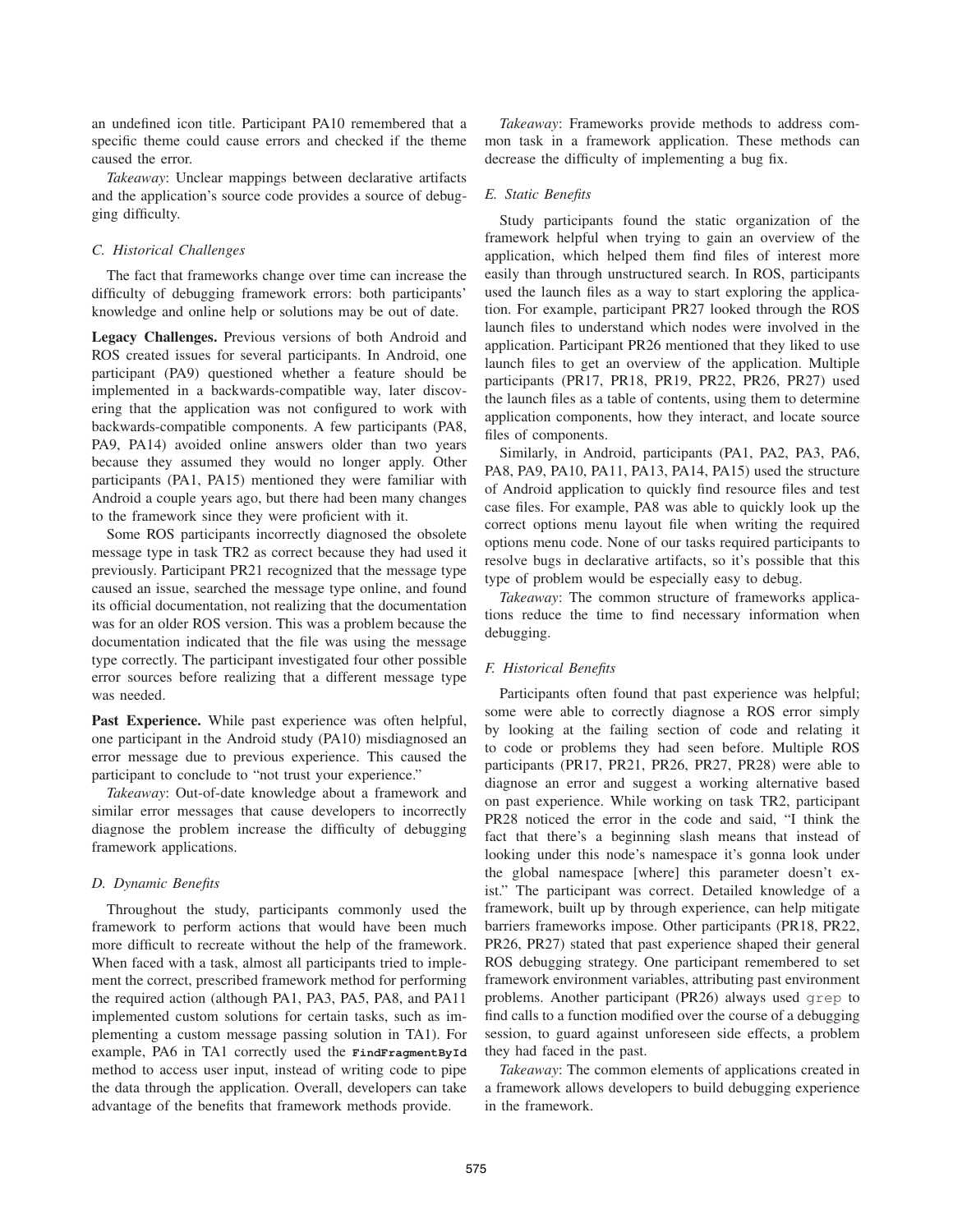an undefined icon title. Participant PA10 remembered that a specific theme could cause errors and checked if the theme caused the error.

*Takeaway*: Unclear mappings between declarative artifacts and the application's source code provides a source of debugging difficulty.

#### *C. Historical Challenges*

The fact that frameworks change over time can increase the difficulty of debugging framework errors: both participants' knowledge and online help or solutions may be out of date.

Legacy Challenges. Previous versions of both Android and ROS created issues for several participants. In Android, one participant (PA9) questioned whether a feature should be implemented in a backwards-compatible way, later discovering that the application was not configured to work with backwards-compatible components. A few participants (PA8, PA9, PA14) avoided online answers older than two years because they assumed they would no longer apply. Other participants (PA1, PA15) mentioned they were familiar with Android a couple years ago, but there had been many changes to the framework since they were proficient with it.

Some ROS participants incorrectly diagnosed the obsolete message type in task TR2 as correct because they had used it previously. Participant PR21 recognized that the message type caused an issue, searched the message type online, and found its official documentation, not realizing that the documentation was for an older ROS version. This was a problem because the documentation indicated that the file was using the message type correctly. The participant investigated four other possible error sources before realizing that a different message type was needed.

Past Experience. While past experience was often helpful, one participant in the Android study (PA10) misdiagnosed an error message due to previous experience. This caused the participant to conclude to "not trust your experience."

*Takeaway*: Out-of-date knowledge about a framework and similar error messages that cause developers to incorrectly diagnose the problem increase the difficulty of debugging framework applications.

#### *D. Dynamic Benefits*

Throughout the study, participants commonly used the framework to perform actions that would have been much more difficult to recreate without the help of the framework. When faced with a task, almost all participants tried to implement the correct, prescribed framework method for performing the required action (although PA1, PA3, PA5, PA8, and PA11 implemented custom solutions for certain tasks, such as implementing a custom message passing solution in TA1). For example, PA6 in TA1 correctly used the **FindFragmentById** method to access user input, instead of writing code to pipe the data through the application. Overall, developers can take advantage of the benefits that framework methods provide.

*Takeaway*: Frameworks provide methods to address common task in a framework application. These methods can decrease the difficulty of implementing a bug fix.

## *E. Static Benefits*

Study participants found the static organization of the framework helpful when trying to gain an overview of the application, which helped them find files of interest more easily than through unstructured search. In ROS, participants used the launch files as a way to start exploring the application. For example, participant PR27 looked through the ROS launch files to understand which nodes were involved in the application. Participant PR26 mentioned that they liked to use launch files to get an overview of the application. Multiple participants (PR17, PR18, PR19, PR22, PR26, PR27) used the launch files as a table of contents, using them to determine application components, how they interact, and locate source files of components.

Similarly, in Android, participants (PA1, PA2, PA3, PA6, PA8, PA9, PA10, PA11, PA13, PA14, PA15) used the structure of Android application to quickly find resource files and test case files. For example, PA8 was able to quickly look up the correct options menu layout file when writing the required options menu code. None of our tasks required participants to resolve bugs in declarative artifacts, so it's possible that this type of problem would be especially easy to debug.

*Takeaway*: The common structure of frameworks applications reduce the time to find necessary information when debugging.

#### *F. Historical Benefits*

Participants often found that past experience was helpful; some were able to correctly diagnose a ROS error simply by looking at the failing section of code and relating it to code or problems they had seen before. Multiple ROS participants (PR17, PR21, PR26, PR27, PR28) were able to diagnose an error and suggest a working alternative based on past experience. While working on task TR2, participant PR28 noticed the error in the code and said, "I think the fact that there's a beginning slash means that instead of looking under this node's namespace it's gonna look under the global namespace [where] this parameter doesn't exist." The participant was correct. Detailed knowledge of a framework, built up by through experience, can help mitigate barriers frameworks impose. Other participants (PR18, PR22, PR26, PR27) stated that past experience shaped their general ROS debugging strategy. One participant remembered to set framework environment variables, attributing past environment problems. Another participant (PR26) always used grep to find calls to a function modified over the course of a debugging session, to guard against unforeseen side effects, a problem they had faced in the past.

*Takeaway*: The common elements of applications created in a framework allows developers to build debugging experience in the framework.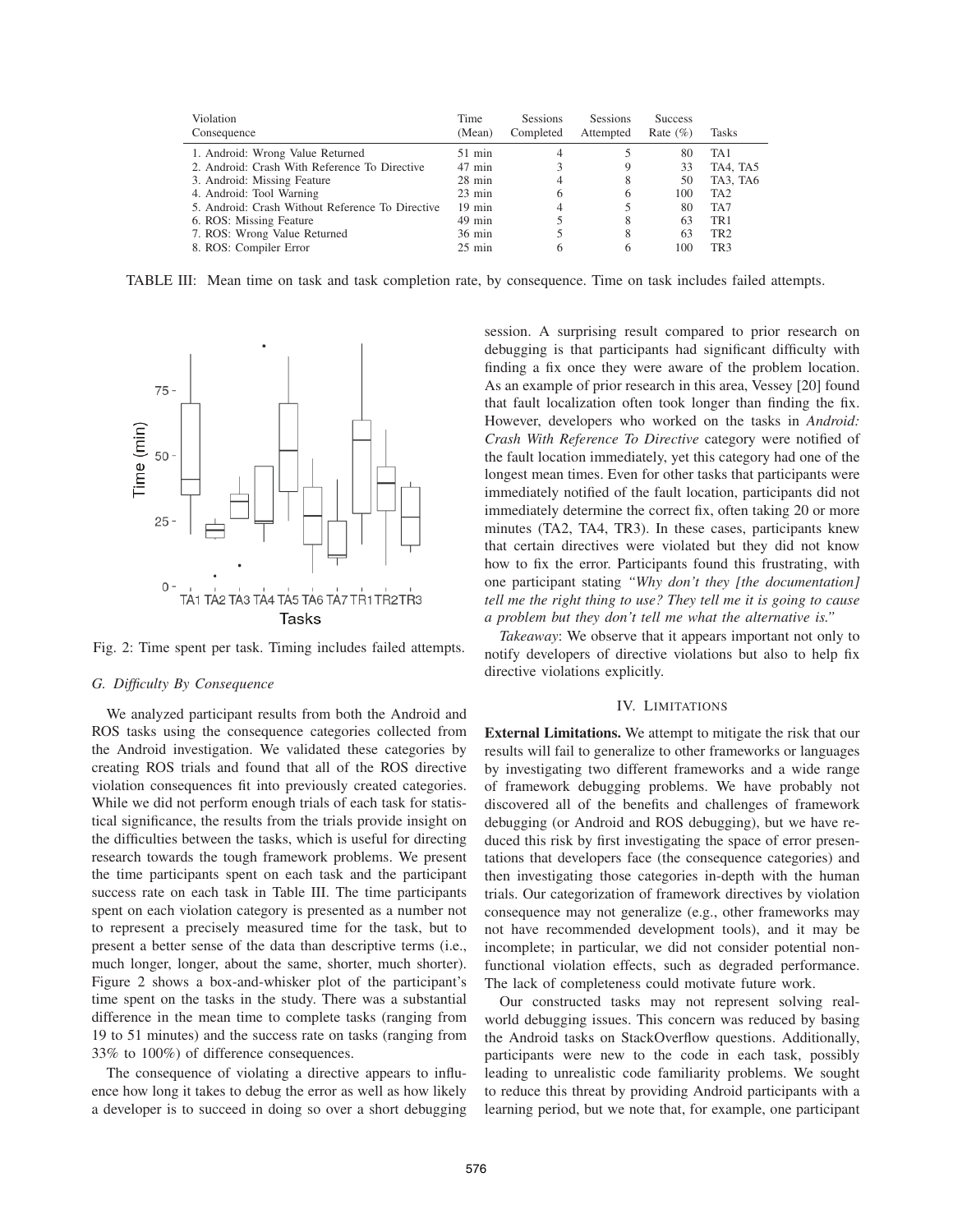| Violation<br>Consequence                         | Time<br>(Mean)   | <b>Sessions</b><br>Completed | <b>Sessions</b><br>Attempted | <b>Success</b><br>Rate $(\% )$ | <b>Tasks</b>    |
|--------------------------------------------------|------------------|------------------------------|------------------------------|--------------------------------|-----------------|
| 1. Android: Wrong Value Returned                 | $51$ min         |                              |                              | 80                             | TA <sub>1</sub> |
| 2. Android: Crash With Reference To Directive    | $47$ min         |                              | 9                            | 33                             | TA4, TA5        |
| 3. Android: Missing Feature                      | $28$ min         | 4                            | 8                            | 50                             | TA3, TA6        |
| 4. Android: Tool Warning                         | $23 \text{ min}$ | 6                            | 6                            | 100                            | TA <sub>2</sub> |
| 5. Android: Crash Without Reference To Directive | $19$ min         | 4                            |                              | 80                             | TA7             |
| 6. ROS: Missing Feature                          | $49$ min         |                              | 8                            | 63                             | TR <sub>1</sub> |
| 7. ROS: Wrong Value Returned                     | $36 \text{ min}$ |                              | 8                            | 63                             | TR <sub>2</sub> |
| 8. ROS: Compiler Error                           | $25 \text{ min}$ | 6                            |                              | 100                            | TR <sub>3</sub> |

TABLE III: Mean time on task and task completion rate, by consequence. Time on task includes failed attempts.



Fig. 2: Time spent per task. Timing includes failed attempts.

## *G. Difficulty By Consequence*

We analyzed participant results from both the Android and ROS tasks using the consequence categories collected from the Android investigation. We validated these categories by creating ROS trials and found that all of the ROS directive violation consequences fit into previously created categories. While we did not perform enough trials of each task for statistical significance, the results from the trials provide insight on the difficulties between the tasks, which is useful for directing research towards the tough framework problems. We present the time participants spent on each task and the participant success rate on each task in Table III. The time participants spent on each violation category is presented as a number not to represent a precisely measured time for the task, but to present a better sense of the data than descriptive terms (i.e., much longer, longer, about the same, shorter, much shorter). Figure 2 shows a box-and-whisker plot of the participant's time spent on the tasks in the study. There was a substantial difference in the mean time to complete tasks (ranging from 19 to 51 minutes) and the success rate on tasks (ranging from 33% to 100%) of difference consequences.

The consequence of violating a directive appears to influence how long it takes to debug the error as well as how likely a developer is to succeed in doing so over a short debugging

session. A surprising result compared to prior research on debugging is that participants had significant difficulty with finding a fix once they were aware of the problem location. As an example of prior research in this area, Vessey [20] found that fault localization often took longer than finding the fix. However, developers who worked on the tasks in *Android: Crash With Reference To Directive* category were notified of the fault location immediately, yet this category had one of the longest mean times. Even for other tasks that participants were immediately notified of the fault location, participants did not immediately determine the correct fix, often taking 20 or more minutes (TA2, TA4, TR3). In these cases, participants knew that certain directives were violated but they did not know how to fix the error. Participants found this frustrating, with one participant stating *"Why don't they [the documentation] tell me the right thing to use? They tell me it is going to cause a problem but they don't tell me what the alternative is."*

*Takeaway*: We observe that it appears important not only to notify developers of directive violations but also to help fix directive violations explicitly.

#### IV. LIMITATIONS

External Limitations. We attempt to mitigate the risk that our results will fail to generalize to other frameworks or languages by investigating two different frameworks and a wide range of framework debugging problems. We have probably not discovered all of the benefits and challenges of framework debugging (or Android and ROS debugging), but we have reduced this risk by first investigating the space of error presentations that developers face (the consequence categories) and then investigating those categories in-depth with the human trials. Our categorization of framework directives by violation consequence may not generalize (e.g., other frameworks may not have recommended development tools), and it may be incomplete; in particular, we did not consider potential nonfunctional violation effects, such as degraded performance. The lack of completeness could motivate future work.

Our constructed tasks may not represent solving realworld debugging issues. This concern was reduced by basing the Android tasks on StackOverflow questions. Additionally, participants were new to the code in each task, possibly leading to unrealistic code familiarity problems. We sought to reduce this threat by providing Android participants with a learning period, but we note that, for example, one participant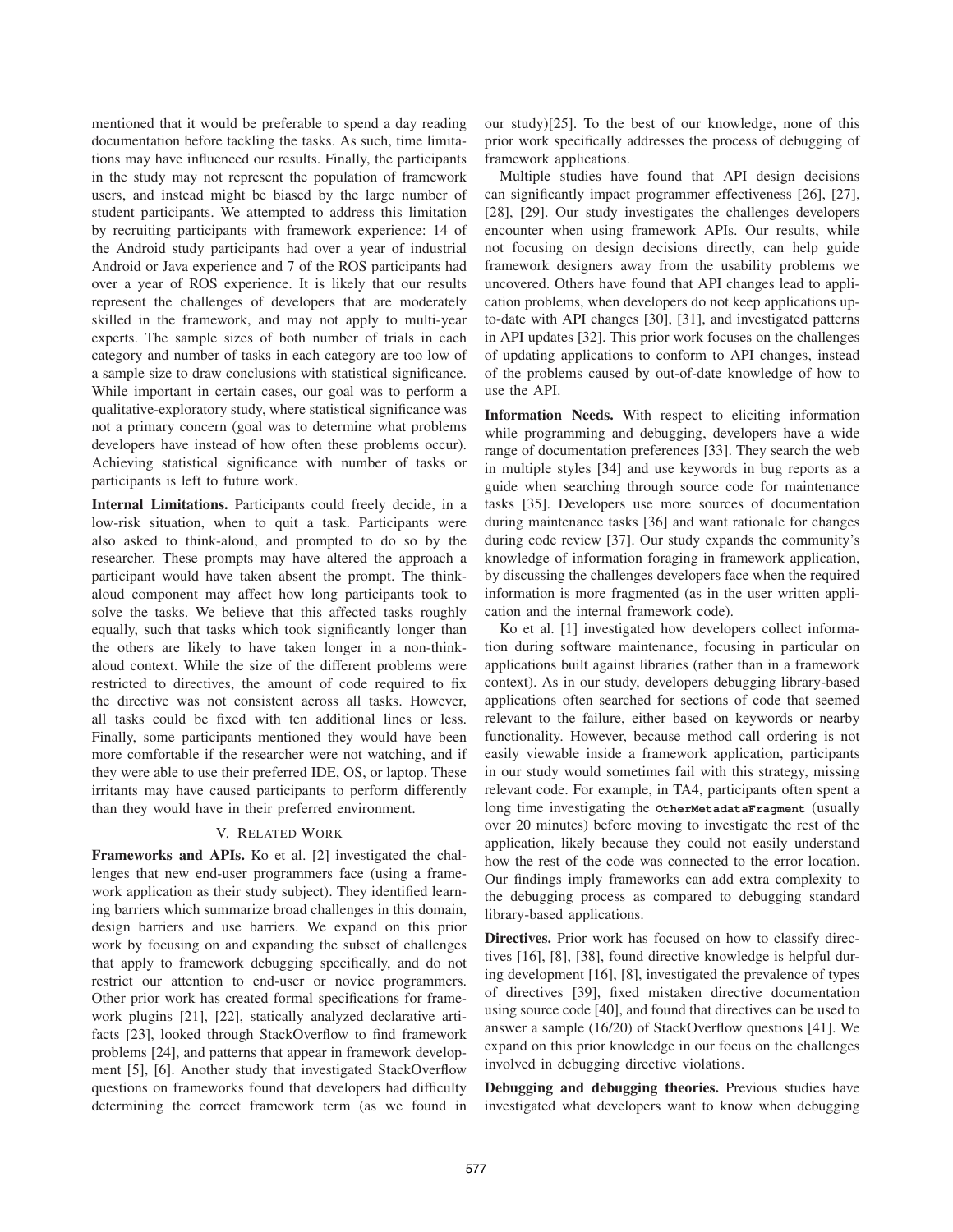mentioned that it would be preferable to spend a day reading documentation before tackling the tasks. As such, time limitations may have influenced our results. Finally, the participants in the study may not represent the population of framework users, and instead might be biased by the large number of student participants. We attempted to address this limitation by recruiting participants with framework experience: 14 of the Android study participants had over a year of industrial Android or Java experience and 7 of the ROS participants had over a year of ROS experience. It is likely that our results represent the challenges of developers that are moderately skilled in the framework, and may not apply to multi-year experts. The sample sizes of both number of trials in each category and number of tasks in each category are too low of a sample size to draw conclusions with statistical significance. While important in certain cases, our goal was to perform a qualitative-exploratory study, where statistical significance was not a primary concern (goal was to determine what problems developers have instead of how often these problems occur). Achieving statistical significance with number of tasks or participants is left to future work.

Internal Limitations. Participants could freely decide, in a low-risk situation, when to quit a task. Participants were also asked to think-aloud, and prompted to do so by the researcher. These prompts may have altered the approach a participant would have taken absent the prompt. The thinkaloud component may affect how long participants took to solve the tasks. We believe that this affected tasks roughly equally, such that tasks which took significantly longer than the others are likely to have taken longer in a non-thinkaloud context. While the size of the different problems were restricted to directives, the amount of code required to fix the directive was not consistent across all tasks. However, all tasks could be fixed with ten additional lines or less. Finally, some participants mentioned they would have been more comfortable if the researcher were not watching, and if they were able to use their preferred IDE, OS, or laptop. These irritants may have caused participants to perform differently than they would have in their preferred environment.

## V. RELATED WORK

Frameworks and APIs. Ko et al. [2] investigated the challenges that new end-user programmers face (using a framework application as their study subject). They identified learning barriers which summarize broad challenges in this domain, design barriers and use barriers. We expand on this prior work by focusing on and expanding the subset of challenges that apply to framework debugging specifically, and do not restrict our attention to end-user or novice programmers. Other prior work has created formal specifications for framework plugins [21], [22], statically analyzed declarative artifacts [23], looked through StackOverflow to find framework problems [24], and patterns that appear in framework development [5], [6]. Another study that investigated StackOverflow questions on frameworks found that developers had difficulty determining the correct framework term (as we found in our study)[25]. To the best of our knowledge, none of this prior work specifically addresses the process of debugging of framework applications.

Multiple studies have found that API design decisions can significantly impact programmer effectiveness [26], [27], [28], [29]. Our study investigates the challenges developers encounter when using framework APIs. Our results, while not focusing on design decisions directly, can help guide framework designers away from the usability problems we uncovered. Others have found that API changes lead to application problems, when developers do not keep applications upto-date with API changes [30], [31], and investigated patterns in API updates [32]. This prior work focuses on the challenges of updating applications to conform to API changes, instead of the problems caused by out-of-date knowledge of how to use the API.

Information Needs. With respect to eliciting information while programming and debugging, developers have a wide range of documentation preferences [33]. They search the web in multiple styles [34] and use keywords in bug reports as a guide when searching through source code for maintenance tasks [35]. Developers use more sources of documentation during maintenance tasks [36] and want rationale for changes during code review [37]. Our study expands the community's knowledge of information foraging in framework application, by discussing the challenges developers face when the required information is more fragmented (as in the user written application and the internal framework code).

Ko et al. [1] investigated how developers collect information during software maintenance, focusing in particular on applications built against libraries (rather than in a framework context). As in our study, developers debugging library-based applications often searched for sections of code that seemed relevant to the failure, either based on keywords or nearby functionality. However, because method call ordering is not easily viewable inside a framework application, participants in our study would sometimes fail with this strategy, missing relevant code. For example, in TA4, participants often spent a long time investigating the **OtherMetadataFragment** (usually over 20 minutes) before moving to investigate the rest of the application, likely because they could not easily understand how the rest of the code was connected to the error location. Our findings imply frameworks can add extra complexity to the debugging process as compared to debugging standard library-based applications.

Directives. Prior work has focused on how to classify directives [16], [8], [38], found directive knowledge is helpful during development [16], [8], investigated the prevalence of types of directives [39], fixed mistaken directive documentation using source code [40], and found that directives can be used to answer a sample (16/20) of StackOverflow questions [41]. We expand on this prior knowledge in our focus on the challenges involved in debugging directive violations.

Debugging and debugging theories. Previous studies have investigated what developers want to know when debugging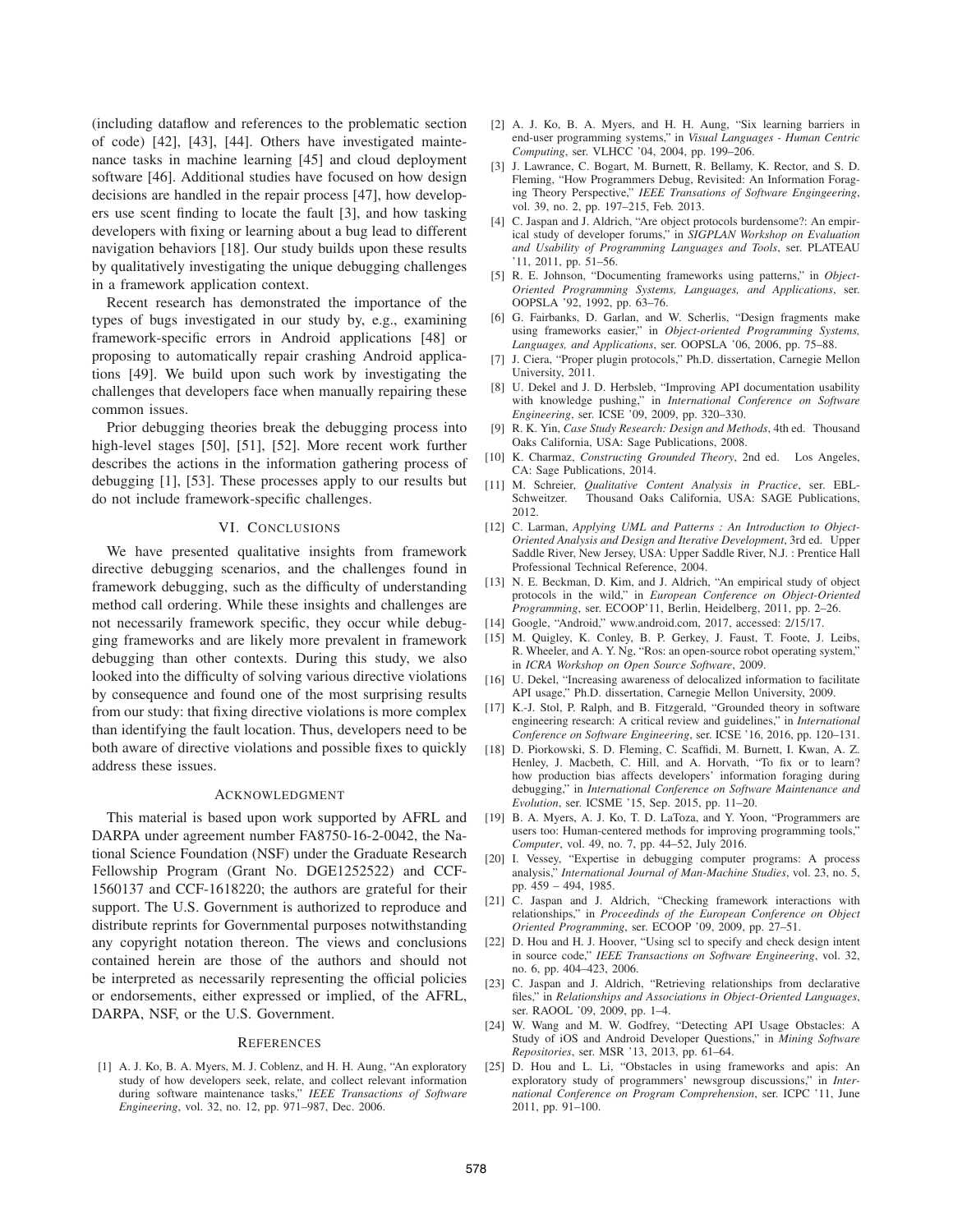(including dataflow and references to the problematic section of code) [42], [43], [44]. Others have investigated maintenance tasks in machine learning [45] and cloud deployment software [46]. Additional studies have focused on how design decisions are handled in the repair process [47], how developers use scent finding to locate the fault [3], and how tasking developers with fixing or learning about a bug lead to different navigation behaviors [18]. Our study builds upon these results by qualitatively investigating the unique debugging challenges in a framework application context.

Recent research has demonstrated the importance of the types of bugs investigated in our study by, e.g., examining framework-specific errors in Android applications [48] or proposing to automatically repair crashing Android applications [49]. We build upon such work by investigating the challenges that developers face when manually repairing these common issues.

Prior debugging theories break the debugging process into high-level stages [50], [51], [52]. More recent work further describes the actions in the information gathering process of debugging [1], [53]. These processes apply to our results but do not include framework-specific challenges.

## VI. CONCLUSIONS

We have presented qualitative insights from framework directive debugging scenarios, and the challenges found in framework debugging, such as the difficulty of understanding method call ordering. While these insights and challenges are not necessarily framework specific, they occur while debugging frameworks and are likely more prevalent in framework debugging than other contexts. During this study, we also looked into the difficulty of solving various directive violations by consequence and found one of the most surprising results from our study: that fixing directive violations is more complex than identifying the fault location. Thus, developers need to be both aware of directive violations and possible fixes to quickly address these issues.

#### ACKNOWLEDGMENT

This material is based upon work supported by AFRL and DARPA under agreement number FA8750-16-2-0042, the National Science Foundation (NSF) under the Graduate Research Fellowship Program (Grant No. DGE1252522) and CCF-1560137 and CCF-1618220; the authors are grateful for their support. The U.S. Government is authorized to reproduce and distribute reprints for Governmental purposes notwithstanding any copyright notation thereon. The views and conclusions contained herein are those of the authors and should not be interpreted as necessarily representing the official policies or endorsements, either expressed or implied, of the AFRL, DARPA, NSF, or the U.S. Government.

#### **REFERENCES**

[1] A. J. Ko, B. A. Myers, M. J. Coblenz, and H. H. Aung, "An exploratory study of how developers seek, relate, and collect relevant information during software maintenance tasks," *IEEE Transactions of Software Engineering*, vol. 32, no. 12, pp. 971–987, Dec. 2006.

- [2] A. J. Ko, B. A. Myers, and H. H. Aung, "Six learning barriers in end-user programming systems," in *Visual Languages - Human Centric Computing*, ser. VLHCC '04, 2004, pp. 199–206.
- [3] J. Lawrance, C. Bogart, M. Burnett, R. Bellamy, K. Rector, and S. D. Fleming, "How Programmers Debug, Revisited: An Information Foraging Theory Perspective," *IEEE Transations of Software Engingeering*, vol. 39, no. 2, pp. 197–215, Feb. 2013.
- [4] C. Jaspan and J. Aldrich, "Are object protocols burdensome?: An empirical study of developer forums," in *SIGPLAN Workshop on Evaluation and Usability of Programming Languages and Tools*, ser. PLATEAU '11, 2011, pp. 51–56.
- [5] R. E. Johnson, "Documenting frameworks using patterns," in *Object-Oriented Programming Systems, Languages, and Applications*, ser. OOPSLA '92, 1992, pp. 63–76.
- [6] G. Fairbanks, D. Garlan, and W. Scherlis, "Design fragments make using frameworks easier," in *Object-oriented Programming Systems, Languages, and Applications*, ser. OOPSLA '06, 2006, pp. 75–88.
- [7] J. Ciera, "Proper plugin protocols," Ph.D. dissertation, Carnegie Mellon University, 2011.
- [8] U. Dekel and J. D. Herbsleb, "Improving API documentation usability with knowledge pushing," in *International Conference on Software Engineering*, ser. ICSE '09, 2009, pp. 320–330.
- [9] R. K. Yin, *Case Study Research: Design and Methods*, 4th ed. Thousand Oaks California, USA: Sage Publications, 2008.
- [10] K. Charmaz, *Constructing Grounded Theory*, 2nd ed. Los Angeles, CA: Sage Publications, 2014.
- [11] M. Schreier, *Qualitative Content Analysis in Practice*, ser. EBL-Schweitzer. Thousand Oaks California, USA: SAGE Publications, 2012.
- [12] C. Larman, *Applying UML and Patterns : An Introduction to Object-Oriented Analysis and Design and Iterative Development*, 3rd ed. Upper Saddle River, New Jersey, USA: Upper Saddle River, N.J. : Prentice Hall Professional Technical Reference, 2004.
- [13] N. E. Beckman, D. Kim, and J. Aldrich, "An empirical study of object protocols in the wild," in *European Conference on Object-Oriented Programming*, ser. ECOOP'11, Berlin, Heidelberg, 2011, pp. 2–26.
- [14] Google, "Android," www.android.com, 2017, accessed: 2/15/17.
- [15] M. Quigley, K. Conley, B. P. Gerkey, J. Faust, T. Foote, J. Leibs, R. Wheeler, and A. Y. Ng, "Ros: an open-source robot operating system," in *ICRA Workshop on Open Source Software*, 2009.
- [16] U. Dekel, "Increasing awareness of delocalized information to facilitate API usage," Ph.D. dissertation, Carnegie Mellon University, 2009.
- [17] K.-J. Stol, P. Ralph, and B. Fitzgerald, "Grounded theory in software engineering research: A critical review and guidelines," in *International Conference on Software Engineering*, ser. ICSE '16, 2016, pp. 120–131.
- [18] D. Piorkowski, S. D. Fleming, C. Scaffidi, M. Burnett, I. Kwan, A. Z. Henley, J. Macbeth, C. Hill, and A. Horvath, "To fix or to learn? how production bias affects developers' information foraging during debugging," in *International Conference on Software Maintenance and Evolution*, ser. ICSME '15, Sep. 2015, pp. 11–20.
- [19] B. A. Myers, A. J. Ko, T. D. LaToza, and Y. Yoon, "Programmers are users too: Human-centered methods for improving programming tools," *Computer*, vol. 49, no. 7, pp. 44–52, July 2016.
- [20] I. Vessey, "Expertise in debugging computer programs: A process analysis," *International Journal of Man-Machine Studies*, vol. 23, no. 5, pp. 459 – 494, 1985.
- [21] C. Jaspan and J. Aldrich, "Checking framework interactions with relationships," in *Proceedinds of the European Conference on Object Oriented Programming*, ser. ECOOP '09, 2009, pp. 27–51.
- [22] D. Hou and H. J. Hoover, "Using scl to specify and check design intent in source code," *IEEE Transactions on Software Engineering*, vol. 32, no. 6, pp. 404–423, 2006.
- [23] C. Jaspan and J. Aldrich, "Retrieving relationships from declarative files," in *Relationships and Associations in Object-Oriented Languages*, ser. RAOOL '09, 2009, pp. 1–4.
- [24] W. Wang and M. W. Godfrey, "Detecting API Usage Obstacles: A Study of iOS and Android Developer Questions," in *Mining Software Repositories*, ser. MSR '13, 2013, pp. 61–64.
- [25] D. Hou and L. Li, "Obstacles in using frameworks and apis: An exploratory study of programmers' newsgroup discussions," in *International Conference on Program Comprehension*, ser. ICPC '11, June 2011, pp. 91–100.